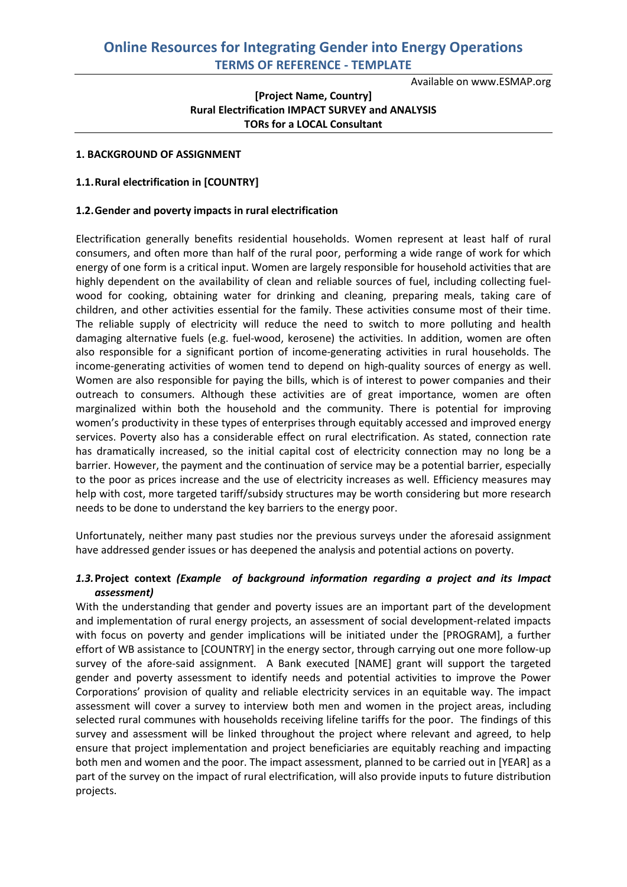Available on www.ESMAP.org

## **[Project Name, Country] Rural Electrification IMPACT SURVEY and ANALYSIS TORs for a LOCAL Consultant**

### **1. BACKGROUND OF ASSIGNMENT**

#### **1.1.Rural electrification in [COUNTRY]**

#### **1.2.Gender and poverty impacts in rural electrification**

Electrification generally benefits residential households. Women represent at least half of rural consumers, and often more than half of the rural poor, performing a wide range of work for which energy of one form is a critical input. Women are largely responsible for household activities that are highly dependent on the availability of clean and reliable sources of fuel, including collecting fuelwood for cooking, obtaining water for drinking and cleaning, preparing meals, taking care of children, and other activities essential for the family. These activities consume most of their time. The reliable supply of electricity will reduce the need to switch to more polluting and health damaging alternative fuels (e.g. fuel-wood, kerosene) the activities. In addition, women are often also responsible for a significant portion of income-generating activities in rural households. The income-generating activities of women tend to depend on high-quality sources of energy as well. Women are also responsible for paying the bills, which is of interest to power companies and their outreach to consumers. Although these activities are of great importance, women are often marginalized within both the household and the community. There is potential for improving women's productivity in these types of enterprises through equitably accessed and improved energy services. Poverty also has a considerable effect on rural electrification. As stated, connection rate has dramatically increased, so the initial capital cost of electricity connection may no long be a barrier. However, the payment and the continuation of service may be a potential barrier, especially to the poor as prices increase and the use of electricity increases as well. Efficiency measures may help with cost, more targeted tariff/subsidy structures may be worth considering but more research needs to be done to understand the key barriers to the energy poor.

Unfortunately, neither many past studies nor the previous surveys under the aforesaid assignment have addressed gender issues or has deepened the analysis and potential actions on poverty.

### *1.3.***Project context** *(Example of background information regarding a project and its Impact assessment)*

With the understanding that gender and poverty issues are an important part of the development and implementation of rural energy projects, an assessment of social development-related impacts with focus on poverty and gender implications will be initiated under the [PROGRAM], a further effort of WB assistance to [COUNTRY] in the energy sector, through carrying out one more follow-up survey of the afore-said assignment. A Bank executed [NAME] grant will support the targeted gender and poverty assessment to identify needs and potential activities to improve the Power Corporations' provision of quality and reliable electricity services in an equitable way. The impact assessment will cover a survey to interview both men and women in the project areas, including selected rural communes with households receiving lifeline tariffs for the poor. The findings of this survey and assessment will be linked throughout the project where relevant and agreed, to help ensure that project implementation and project beneficiaries are equitably reaching and impacting both men and women and the poor. The impact assessment, planned to be carried out in [YEAR] as a part of the survey on the impact of rural electrification, will also provide inputs to future distribution projects.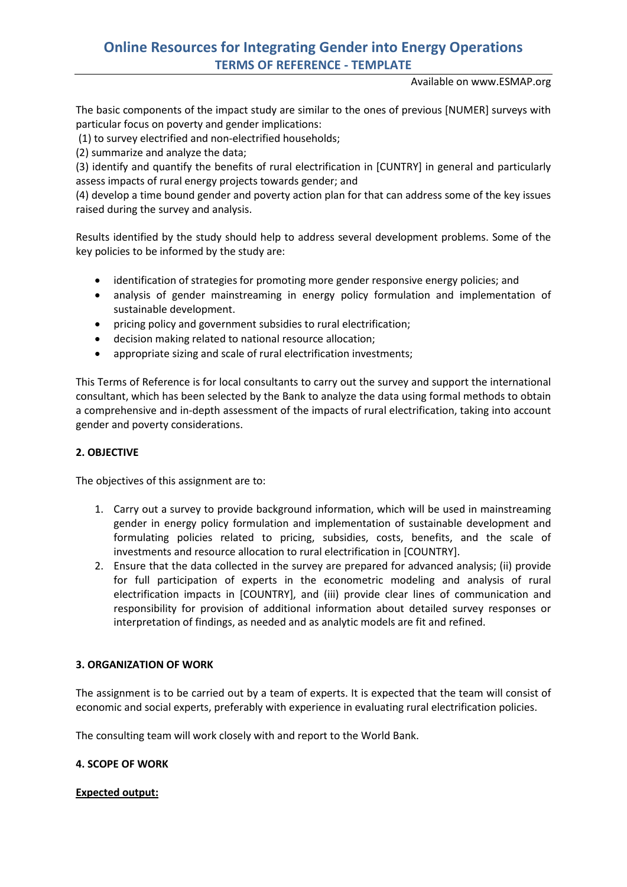Available on www.ESMAP.org

The basic components of the impact study are similar to the ones of previous [NUMER] surveys with particular focus on poverty and gender implications:

(1) to survey electrified and non-electrified households;

(2) summarize and analyze the data;

(3) identify and quantify the benefits of rural electrification in [CUNTRY] in general and particularly assess impacts of rural energy projects towards gender; and

(4) develop a time bound gender and poverty action plan for that can address some of the key issues raised during the survey and analysis.

Results identified by the study should help to address several development problems. Some of the key policies to be informed by the study are:

- identification of strategies for promoting more gender responsive energy policies; and
- analysis of gender mainstreaming in energy policy formulation and implementation of sustainable development.
- pricing policy and government subsidies to rural electrification;
- decision making related to national resource allocation;
- appropriate sizing and scale of rural electrification investments;

This Terms of Reference is for local consultants to carry out the survey and support the international consultant, which has been selected by the Bank to analyze the data using formal methods to obtain a comprehensive and in-depth assessment of the impacts of rural electrification, taking into account gender and poverty considerations.

### **2. OBJECTIVE**

The objectives of this assignment are to:

- 1. Carry out a survey to provide background information, which will be used in mainstreaming gender in energy policy formulation and implementation of sustainable development and formulating policies related to pricing, subsidies, costs, benefits, and the scale of investments and resource allocation to rural electrification in [COUNTRY].
- 2. Ensure that the data collected in the survey are prepared for advanced analysis; (ii) provide for full participation of experts in the econometric modeling and analysis of rural electrification impacts in [COUNTRY], and (iii) provide clear lines of communication and responsibility for provision of additional information about detailed survey responses or interpretation of findings, as needed and as analytic models are fit and refined.

### **3. ORGANIZATION OF WORK**

The assignment is to be carried out by a team of experts. It is expected that the team will consist of economic and social experts, preferably with experience in evaluating rural electrification policies.

The consulting team will work closely with and report to the World Bank.

### **4. SCOPE OF WORK**

### **Expected output:**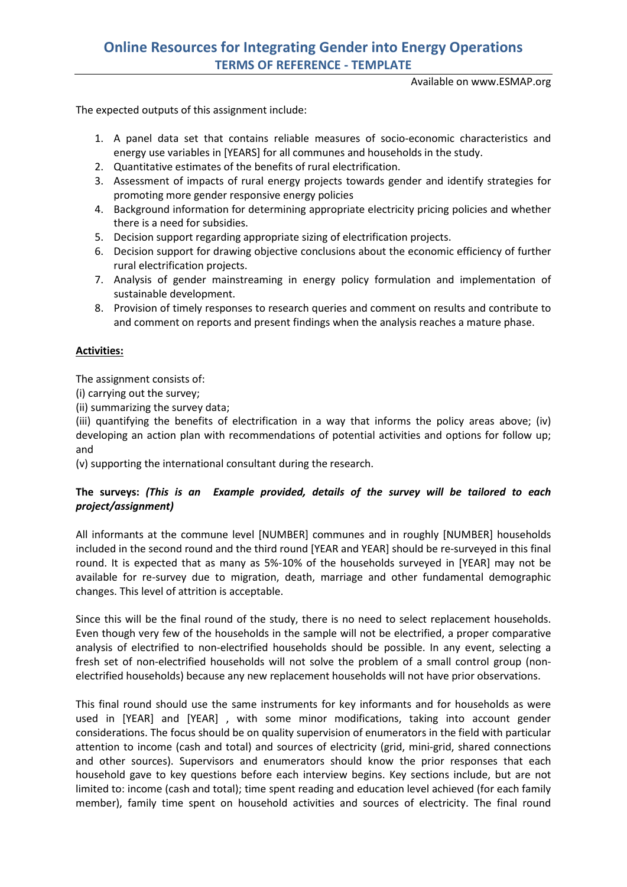Available on www.ESMAP.org

The expected outputs of this assignment include:

- 1. A panel data set that contains reliable measures of socio-economic characteristics and energy use variables in [YEARS] for all communes and households in the study.
- 2. Quantitative estimates of the benefits of rural electrification.
- 3. Assessment of impacts of rural energy projects towards gender and identify strategies for promoting more gender responsive energy policies
- 4. Background information for determining appropriate electricity pricing policies and whether there is a need for subsidies.
- 5. Decision support regarding appropriate sizing of electrification projects.
- 6. Decision support for drawing objective conclusions about the economic efficiency of further rural electrification projects.
- 7. Analysis of gender mainstreaming in energy policy formulation and implementation of sustainable development.
- 8. Provision of timely responses to research queries and comment on results and contribute to and comment on reports and present findings when the analysis reaches a mature phase.

### **Activities:**

The assignment consists of:

(i) carrying out the survey;

(ii) summarizing the survey data;

(iii) quantifying the benefits of electrification in a way that informs the policy areas above; (iv) developing an action plan with recommendations of potential activities and options for follow up; and

(v) supporting the international consultant during the research.

## **The surveys:** *(This is an Example provided, details of the survey will be tailored to each project/assignment)*

All informants at the commune level [NUMBER] communes and in roughly [NUMBER] households included in the second round and the third round [YEAR and YEAR] should be re-surveyed in this final round. It is expected that as many as 5%-10% of the households surveyed in [YEAR] may not be available for re-survey due to migration, death, marriage and other fundamental demographic changes. This level of attrition is acceptable.

Since this will be the final round of the study, there is no need to select replacement households. Even though very few of the households in the sample will not be electrified, a proper comparative analysis of electrified to non-electrified households should be possible. In any event, selecting a fresh set of non-electrified households will not solve the problem of a small control group (nonelectrified households) because any new replacement households will not have prior observations.

This final round should use the same instruments for key informants and for households as were used in [YEAR] and [YEAR] , with some minor modifications, taking into account gender considerations. The focus should be on quality supervision of enumerators in the field with particular attention to income (cash and total) and sources of electricity (grid, mini-grid, shared connections and other sources). Supervisors and enumerators should know the prior responses that each household gave to key questions before each interview begins. Key sections include, but are not limited to: income (cash and total); time spent reading and education level achieved (for each family member), family time spent on household activities and sources of electricity. The final round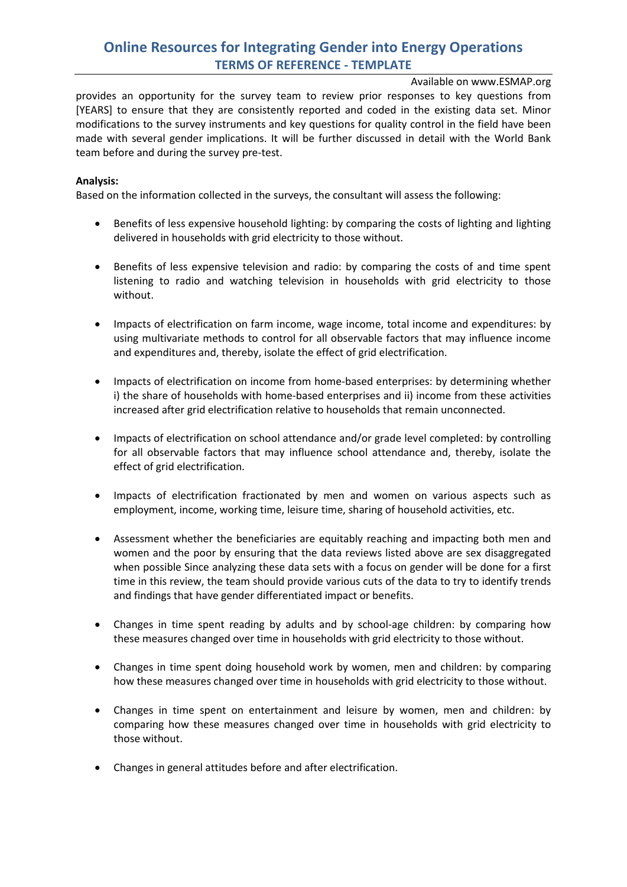Available on www.ESMAP.org

provides an opportunity for the survey team to review prior responses to key questions from [YEARS] to ensure that they are consistently reported and coded in the existing data set. Minor modifications to the survey instruments and key questions for quality control in the field have been made with several gender implications. It will be further discussed in detail with the World Bank team before and during the survey pre-test.

### **Analysis:**

Based on the information collected in the surveys, the consultant will assess the following:

- Benefits of less expensive household lighting: by comparing the costs of lighting and lighting delivered in households with grid electricity to those without.
- Benefits of less expensive television and radio: by comparing the costs of and time spent listening to radio and watching television in households with grid electricity to those without.
- Impacts of electrification on farm income, wage income, total income and expenditures: by using multivariate methods to control for all observable factors that may influence income and expenditures and, thereby, isolate the effect of grid electrification.
- Impacts of electrification on income from home-based enterprises: by determining whether i) the share of households with home-based enterprises and ii) income from these activities increased after grid electrification relative to households that remain unconnected.
- Impacts of electrification on school attendance and/or grade level completed: by controlling for all observable factors that may influence school attendance and, thereby, isolate the effect of grid electrification.
- Impacts of electrification fractionated by men and women on various aspects such as employment, income, working time, leisure time, sharing of household activities, etc.
- Assessment whether the beneficiaries are equitably reaching and impacting both men and women and the poor by ensuring that the data reviews listed above are sex disaggregated when possible Since analyzing these data sets with a focus on gender will be done for a first time in this review, the team should provide various cuts of the data to try to identify trends and findings that have gender differentiated impact or benefits.
- Changes in time spent reading by adults and by school-age children: by comparing how these measures changed over time in households with grid electricity to those without.
- Changes in time spent doing household work by women, men and children: by comparing how these measures changed over time in households with grid electricity to those without.
- Changes in time spent on entertainment and leisure by women, men and children: by comparing how these measures changed over time in households with grid electricity to those without.
- Changes in general attitudes before and after electrification.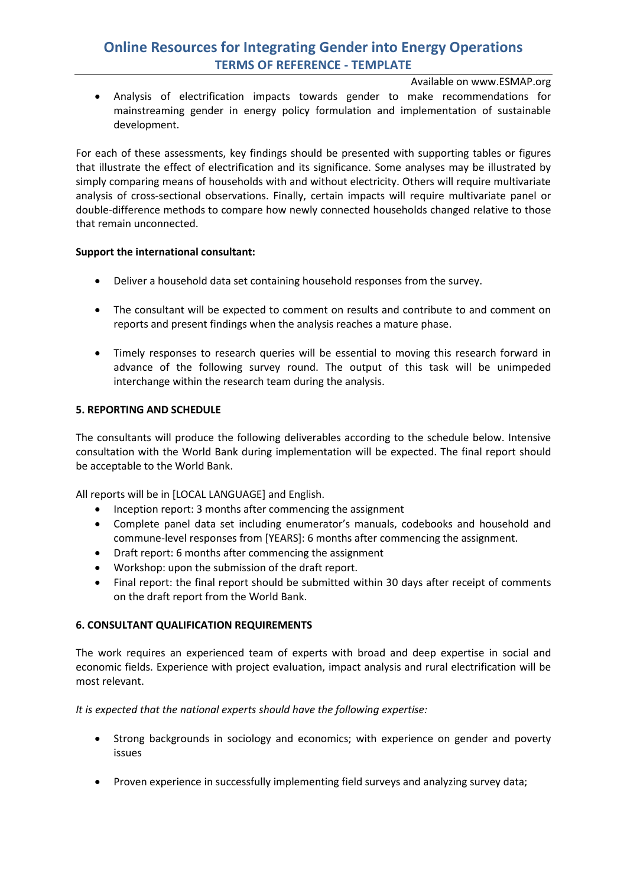Available on www.ESMAP.org

• Analysis of electrification impacts towards gender to make recommendations for mainstreaming gender in energy policy formulation and implementation of sustainable development.

For each of these assessments, key findings should be presented with supporting tables or figures that illustrate the effect of electrification and its significance. Some analyses may be illustrated by simply comparing means of households with and without electricity. Others will require multivariate analysis of cross-sectional observations. Finally, certain impacts will require multivariate panel or double-difference methods to compare how newly connected households changed relative to those that remain unconnected.

### **Support the international consultant:**

- Deliver a household data set containing household responses from the survey.
- The consultant will be expected to comment on results and contribute to and comment on reports and present findings when the analysis reaches a mature phase.
- Timely responses to research queries will be essential to moving this research forward in advance of the following survey round. The output of this task will be unimpeded interchange within the research team during the analysis.

### **5. REPORTING AND SCHEDULE**

The consultants will produce the following deliverables according to the schedule below. Intensive consultation with the World Bank during implementation will be expected. The final report should be acceptable to the World Bank.

All reports will be in [LOCAL LANGUAGE] and English.

- Inception report: 3 months after commencing the assignment
- Complete panel data set including enumerator's manuals, codebooks and household and commune-level responses from [YEARS]: 6 months after commencing the assignment.
- Draft report: 6 months after commencing the assignment
- Workshop: upon the submission of the draft report.
- Final report: the final report should be submitted within 30 days after receipt of comments on the draft report from the World Bank.

### **6. CONSULTANT QUALIFICATION REQUIREMENTS**

The work requires an experienced team of experts with broad and deep expertise in social and economic fields. Experience with project evaluation, impact analysis and rural electrification will be most relevant.

*It is expected that the national experts should have the following expertise:*

- Strong backgrounds in sociology and economics; with experience on gender and poverty issues
- Proven experience in successfully implementing field surveys and analyzing survey data;